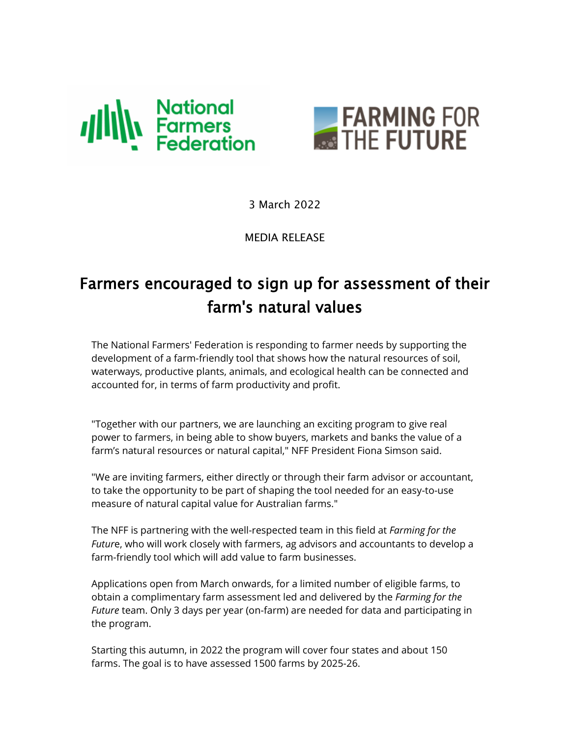



3 March 2022

MEDIA RELEASE

## Farmers encouraged to sign up for assessment of their farm's natural values

The National Farmers' Federation is responding to farmer needs by supporting the development of a farm-friendly tool that shows how the natural resources of soil, waterways, productive plants, animals, and ecological health can be connected and accounted for, in terms of farm productivity and profit.

"Together with our partners, we are launching an exciting program to give real power to farmers, in being able to show buyers, markets and banks the value of a farm's natural resources or natural capital," NFF President Fiona Simson said.

"We are inviting farmers, either directly or through their farm advisor or accountant, to take the opportunity to be part of shaping the tool needed for an easy-to-use measure of natural capital value for Australian farms."

The NFF is partnering with the well-respected team in this field at *Farming for the Futur*e, who will work closely with farmers, ag advisors and accountants to develop a farm-friendly tool which will add value to farm businesses.

Applications open from March onwards, for a limited number of eligible farms, to obtain a complimentary farm assessment led and delivered by the *Farming for the Future* team. Only 3 days per year (on-farm) are needed for data and participating in the program.

Starting this autumn, in 2022 the program will cover four states and about 150 farms. The goal is to have assessed 1500 farms by 2025-26.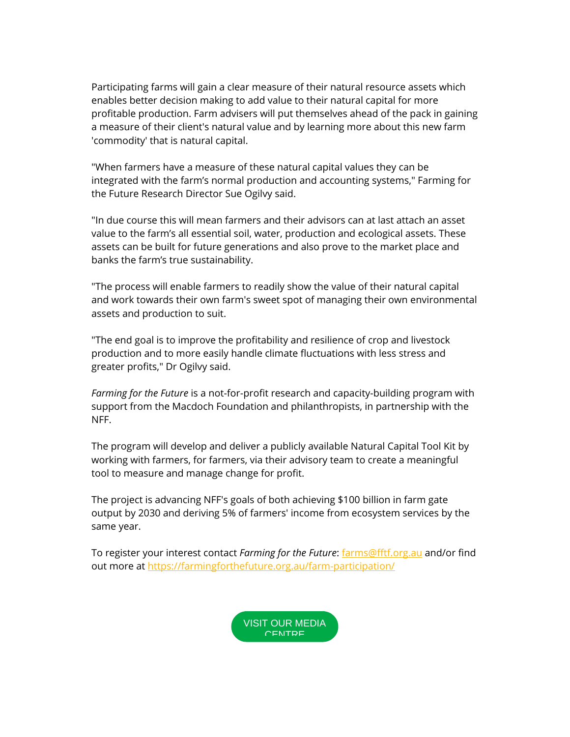Participating farms will gain a clear measure of their natural resource assets which enables better decision making to add value to their natural capital for more profitable production. Farm advisers will put themselves ahead of the pack in gaining a measure of their client's natural value and by learning more about this new farm 'commodity' that is natural capital.

"When farmers have a measure of these natural capital values they can be integrated with the farm's normal production and accounting systems," Farming for the Future Research Director Sue Ogilvy said.

"In due course this will mean farmers and their advisors can at last attach an asset value to the farm's all essential soil, water, production and ecological assets. These assets can be built for future generations and also prove to the market place and banks the farm's true sustainability.

"The process will enable farmers to readily show the value of their natural capital and work towards their own farm's sweet spot of managing their own environmental assets and production to suit.

"The end goal is to improve the profitability and resilience of crop and livestock production and to more easily handle climate fluctuations with less stress and greater profits," Dr Ogilvy said.

*Farming for the Future* is a not-for-profit research and capacity-building program with support from the Macdoch Foundation and philanthropists, in partnership with the NFF.

The program will develop and deliver a publicly available Natural Capital Tool Kit by working with farmers, for farmers, via their advisory team to create a meaningful tool to measure and manage change for profit.

The project is advancing NFF's goals of both achieving \$100 billion in farm gate output by 2030 and deriving 5% of farmers' income from ecosystem services by the same year.

To register your interest contact *Farming for the Future*: [farms@fftf.org.au](mailto:ncfarms@fftf.org.au) and/or find out more at [https://farmingforthefuture.org.au/farm-participation/](https://nam04.safelinks.protection.outlook.com/?url=https%3A%2F%2Femail.farmers.org.au%2FProd%2Flink-tracker%3FredirectUrl%3DaHR0cHMlM0ElMkYlMkZmYXJtaW5nZm9ydGhlZnV0dXJlLm9yZy5hdSUyRmZhcm0tcGFydGljaXBhdGlvbiUyRg%3D%3D%26sig%3D9Lcynn6SRcviPoTmooLcGwQfujnz8nopzcBLwBp7xtWo%26iat%3D1646267807%26a%3D%257C%257C223811193%257C%257C%26account%3Dnff540.activehosted.com%26email%3Dk0ZAsYYDYBH%252BjUjrjNlg1kGyP4%252B5gOjMyQ3qmGlO2hE%253D%26s%3D4f15b1fd354baa87fe6e0bae728d99ff%26i%3D1005A1240A41A15661&data=04%7C01%7Cpoliticalalert%40cch.com.au%7C69c18142005948d2470508d9fcade6c3%7C8ac76c91e7f141ffa89c3553b2da2c17%7C0%7C0%7C637818646134459679%7CUnknown%7CTWFpbGZsb3d8eyJWIjoiMC4wLjAwMDAiLCJQIjoiV2luMzIiLCJBTiI6Ik1haWwiLCJXVCI6Mn0%3D%7C3000&sdata=DAGr8Ebuo7NWonjvAF6JbW8FvvWzrgqbxzQ%2Fp%2BU62V8%3D&reserved=0)

> [VISIT OUR MEDIA](https://nam04.safelinks.protection.outlook.com/?url=https%3A%2F%2Femail.farmers.org.au%2FProd%2Flink-tracker%3FredirectUrl%3DaHR0cHMlM0ElMkYlMkZ3d3cubmZmLm9yZy5hdSUyRm1lZGlhLmh0bWw%3D%26sig%3DHgANyJin4kXMw81ySTEHuvJYHD9KwFTAVXDbuCrzzgHc%26iat%3D1646267807%26a%3D%257C%257C223811193%257C%257C%26account%3Dnff540.activehosted.com%26email%3Dk0ZAsYYDYBH%252BjUjrjNlg1kGyP4%252B5gOjMyQ3qmGlO2hE%253D%26s%3D4f15b1fd354baa87fe6e0bae728d99ff%26i%3D1005A1240A41A15662&data=04%7C01%7Cpoliticalalert%40cch.com.au%7C69c18142005948d2470508d9fcade6c3%7C8ac76c91e7f141ffa89c3553b2da2c17%7C0%7C0%7C637818646134459679%7CUnknown%7CTWFpbGZsb3d8eyJWIjoiMC4wLjAwMDAiLCJQIjoiV2luMzIiLCJBTiI6Ik1haWwiLCJXVCI6Mn0%3D%7C3000&sdata=qGIer3FEnrP7I%2FgkH2IwIgwcBxNoXB4ySwSYzqD1U2g%3D&reserved=0)  **CENTDE**